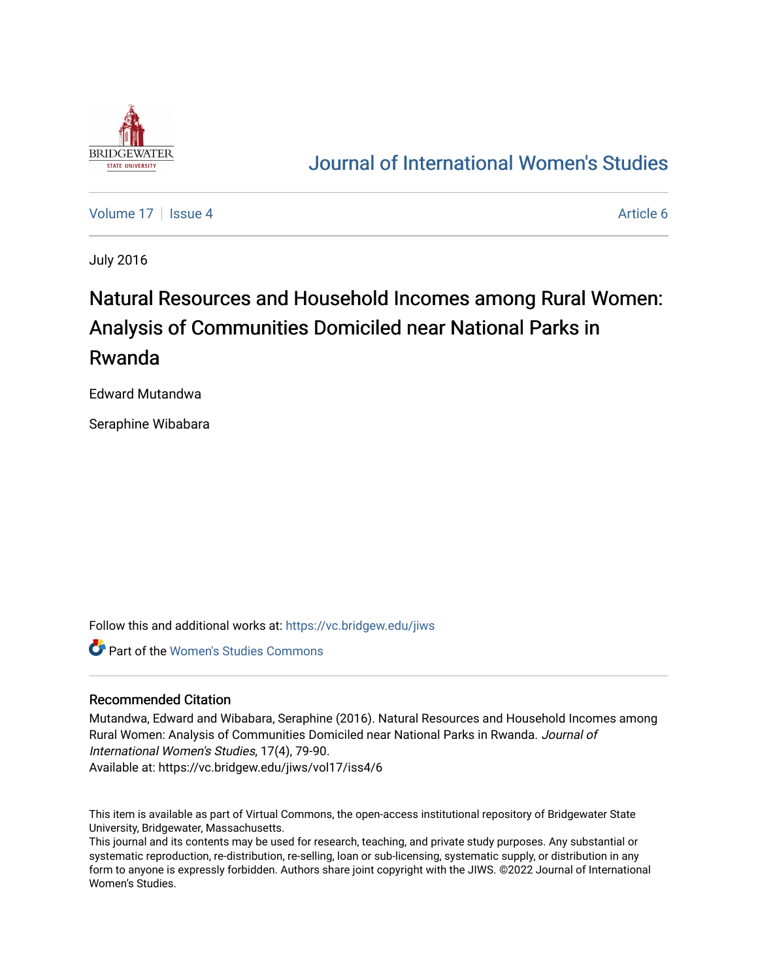

## [Journal of International Women's Studies](https://vc.bridgew.edu/jiws)

[Volume 17](https://vc.bridgew.edu/jiws/vol17) Setup 4 [Article 6](https://vc.bridgew.edu/jiws/vol17/iss4/6) Article 6 Article 6 Article 6 Article 6 Article 6

July 2016

# Natural Resources and Household Incomes among Rural Women: Analysis of Communities Domiciled near National Parks in Rwanda

Edward Mutandwa

Seraphine Wibabara

Follow this and additional works at: [https://vc.bridgew.edu/jiws](https://vc.bridgew.edu/jiws?utm_source=vc.bridgew.edu%2Fjiws%2Fvol17%2Fiss4%2F6&utm_medium=PDF&utm_campaign=PDFCoverPages)

Part of the [Women's Studies Commons](http://network.bepress.com/hgg/discipline/561?utm_source=vc.bridgew.edu%2Fjiws%2Fvol17%2Fiss4%2F6&utm_medium=PDF&utm_campaign=PDFCoverPages) 

#### Recommended Citation

Mutandwa, Edward and Wibabara, Seraphine (2016). Natural Resources and Household Incomes among Rural Women: Analysis of Communities Domiciled near National Parks in Rwanda. Journal of International Women's Studies, 17(4), 79-90.

Available at: https://vc.bridgew.edu/jiws/vol17/iss4/6

This item is available as part of Virtual Commons, the open-access institutional repository of Bridgewater State University, Bridgewater, Massachusetts.

This journal and its contents may be used for research, teaching, and private study purposes. Any substantial or systematic reproduction, re-distribution, re-selling, loan or sub-licensing, systematic supply, or distribution in any form to anyone is expressly forbidden. Authors share joint copyright with the JIWS. ©2022 Journal of International Women's Studies.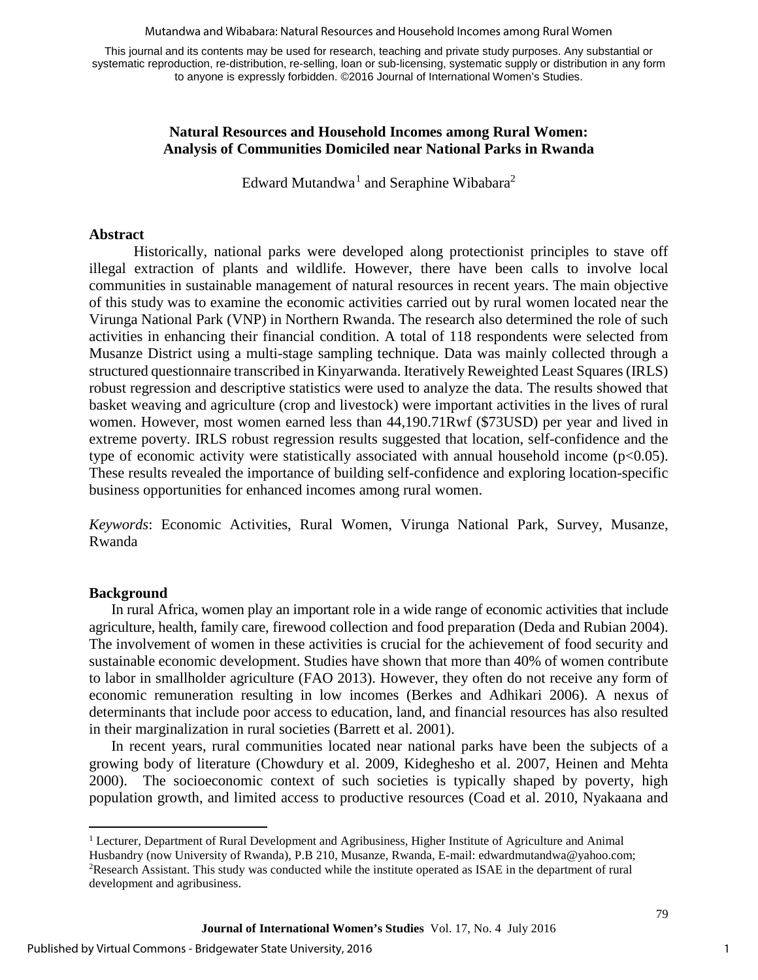Mutandwa and Wibabara: Natural Resources and Household Incomes among Rural Women

This journal and its contents may be used for research, teaching and private study purposes. Any substantial or systematic reproduction, re-distribution, re-selling, loan or sub-licensing, systematic supply or distribution in any form to anyone is expressly forbidden. ©2016 Journal of International Women's Studies.

#### **Natural Resources and Household Incomes among Rural Women: Analysis of Communities Domiciled near National Parks in Rwanda**

Edward Mutandwa<sup>[1](#page-1-0)</sup> and Seraphine Wibabara<sup>2</sup>

#### **Abstract**

Historically, national parks were developed along protectionist principles to stave off illegal extraction of plants and wildlife. However, there have been calls to involve local communities in sustainable management of natural resources in recent years. The main objective of this study was to examine the economic activities carried out by rural women located near the Virunga National Park (VNP) in Northern Rwanda. The research also determined the role of such activities in enhancing their financial condition. A total of 118 respondents were selected from Musanze District using a multi-stage sampling technique. Data was mainly collected through a structured questionnaire transcribed in Kinyarwanda. Iteratively Reweighted Least Squares (IRLS) robust regression and descriptive statistics were used to analyze the data. The results showed that basket weaving and agriculture (crop and livestock) were important activities in the lives of rural women. However, most women earned less than 44,190.71Rwf (\$73USD) per year and lived in extreme poverty. IRLS robust regression results suggested that location, self-confidence and the type of economic activity were statistically associated with annual household income  $(p<0.05)$ . These results revealed the importance of building self-confidence and exploring location-specific business opportunities for enhanced incomes among rural women.

*Keywords*: Economic Activities, Rural Women, Virunga National Park, Survey, Musanze, Rwanda

#### **Background**

l

In rural Africa, women play an important role in a wide range of economic activities that include agriculture, health, family care, firewood collection and food preparation (Deda and Rubian 2004). The involvement of women in these activities is crucial for the achievement of food security and sustainable economic development. Studies have shown that more than 40% of women contribute to labor in smallholder agriculture (FAO 2013). However, they often do not receive any form of economic remuneration resulting in low incomes (Berkes and Adhikari 2006). A nexus of determinants that include poor access to education, land, and financial resources has also resulted in their marginalization in rural societies (Barrett et al. 2001).

In recent years, rural communities located near national parks have been the subjects of a growing body of literature (Chowdury et al. 2009, Kideghesho et al. 2007, Heinen and Mehta 2000). The socioeconomic context of such societies is typically shaped by poverty, high population growth, and limited access to productive resources (Coad et al. 2010, Nyakaana and

<span id="page-1-0"></span><sup>1</sup> Lecturer, Department of Rural Development and Agribusiness, Higher Institute of Agriculture and Animal Husbandry (now University of Rwanda), P.B 210, Musanze, Rwanda, E-mail[: edwardmutandwa@yahoo.com;](mailto:edwardmutandwa@yahoo.com) 2 <sup>2</sup>Research Assistant. This study was conducted while the institute operated as ISAE in the department of rural development and agribusiness.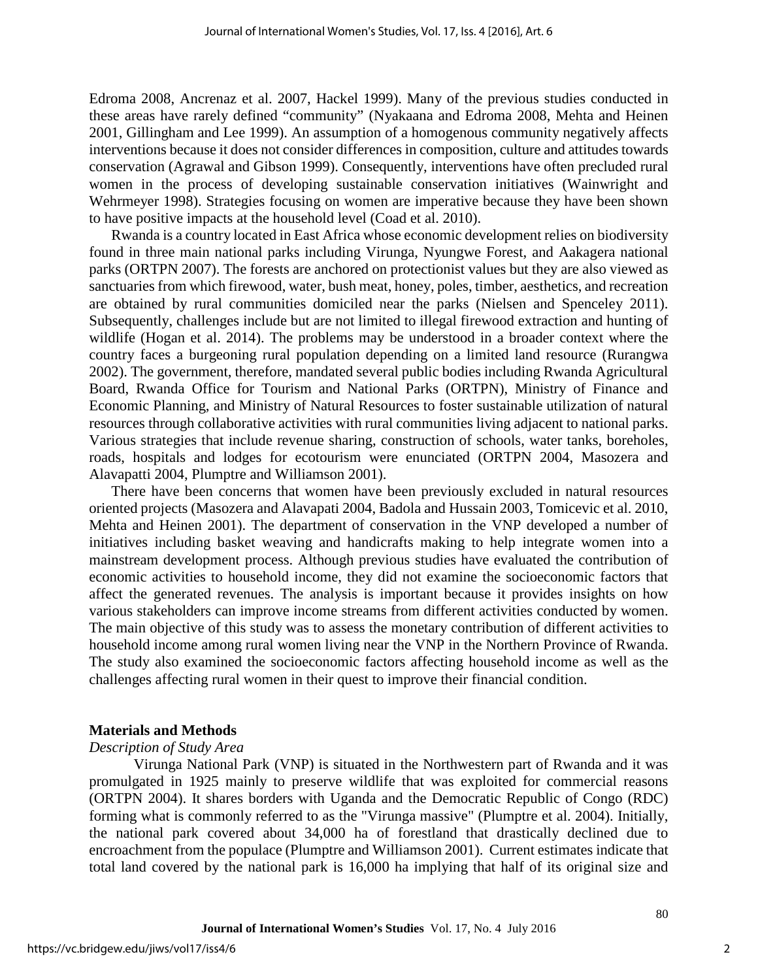Edroma 2008, Ancrenaz et al. 2007, Hackel 1999). Many of the previous studies conducted in these areas have rarely defined "community" (Nyakaana and Edroma 2008, Mehta and Heinen 2001, Gillingham and Lee 1999). An assumption of a homogenous community negatively affects interventions because it does not consider differences in composition, culture and attitudes towards conservation (Agrawal and Gibson 1999). Consequently, interventions have often precluded rural women in the process of developing sustainable conservation initiatives (Wainwright and Wehrmeyer 1998). Strategies focusing on women are imperative because they have been shown to have positive impacts at the household level (Coad et al. 2010).

Rwanda is a country located in East Africa whose economic development relies on biodiversity found in three main national parks including Virunga, Nyungwe Forest, and Aakagera national parks (ORTPN 2007). The forests are anchored on protectionist values but they are also viewed as sanctuaries from which firewood, water, bush meat, honey, poles, timber, aesthetics, and recreation are obtained by rural communities domiciled near the parks (Nielsen and Spenceley 2011). Subsequently, challenges include but are not limited to illegal firewood extraction and hunting of wildlife (Hogan et al. 2014). The problems may be understood in a broader context where the country faces a burgeoning rural population depending on a limited land resource (Rurangwa 2002). The government, therefore, mandated several public bodies including Rwanda Agricultural Board, Rwanda Office for Tourism and National Parks (ORTPN), Ministry of Finance and Economic Planning, and Ministry of Natural Resources to foster sustainable utilization of natural resources through collaborative activities with rural communities living adjacent to national parks. Various strategies that include revenue sharing, construction of schools, water tanks, boreholes, roads, hospitals and lodges for ecotourism were enunciated (ORTPN 2004, Masozera and Alavapatti 2004, Plumptre and Williamson 2001).

There have been concerns that women have been previously excluded in natural resources oriented projects (Masozera and Alavapati 2004, Badola and Hussain 2003, Tomicevic et al. 2010, Mehta and Heinen 2001). The department of conservation in the VNP developed a number of initiatives including basket weaving and handicrafts making to help integrate women into a mainstream development process. Although previous studies have evaluated the contribution of economic activities to household income, they did not examine the socioeconomic factors that affect the generated revenues. The analysis is important because it provides insights on how various stakeholders can improve income streams from different activities conducted by women. The main objective of this study was to assess the monetary contribution of different activities to household income among rural women living near the VNP in the Northern Province of Rwanda. The study also examined the socioeconomic factors affecting household income as well as the challenges affecting rural women in their quest to improve their financial condition.

#### **Materials and Methods**

#### *Description of Study Area*

Virunga National Park (VNP) is situated in the Northwestern part of Rwanda and it was promulgated in 1925 mainly to preserve wildlife that was exploited for commercial reasons (ORTPN 2004). It shares borders with Uganda and the Democratic Republic of Congo (RDC) forming what is commonly referred to as the "Virunga massive" (Plumptre et al. 2004). Initially, the national park covered about 34,000 ha of forestland that drastically declined due to encroachment from the populace (Plumptre and Williamson 2001). Current estimates indicate that total land covered by the national park is 16,000 ha implying that half of its original size and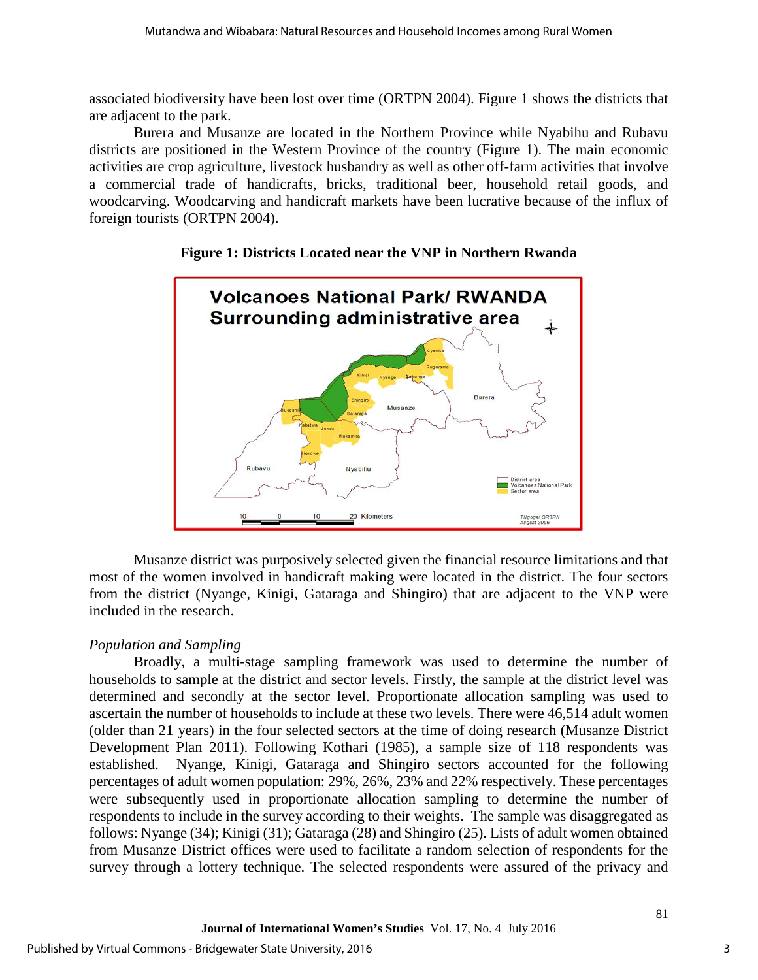associated biodiversity have been lost over time (ORTPN 2004). Figure 1 shows the districts that are adjacent to the park.

Burera and Musanze are located in the Northern Province while Nyabihu and Rubavu districts are positioned in the Western Province of the country (Figure 1). The main economic activities are crop agriculture, livestock husbandry as well as other off-farm activities that involve a commercial trade of handicrafts, bricks, traditional beer, household retail goods, and woodcarving. Woodcarving and handicraft markets have been lucrative because of the influx of foreign tourists (ORTPN 2004).



## **Figure 1: Districts Located near the VNP in Northern Rwanda**

Musanze district was purposively selected given the financial resource limitations and that most of the women involved in handicraft making were located in the district. The four sectors from the district (Nyange, Kinigi, Gataraga and Shingiro) that are adjacent to the VNP were included in the research.

## *Population and Sampling*

Broadly, a multi-stage sampling framework was used to determine the number of households to sample at the district and sector levels. Firstly, the sample at the district level was determined and secondly at the sector level. Proportionate allocation sampling was used to ascertain the number of households to include at these two levels. There were 46,514 adult women (older than 21 years) in the four selected sectors at the time of doing research (Musanze District Development Plan 2011). Following Kothari (1985), a sample size of 118 respondents was established. Nyange, Kinigi, Gataraga and Shingiro sectors accounted for the following percentages of adult women population: 29%, 26%, 23% and 22% respectively. These percentages were subsequently used in proportionate allocation sampling to determine the number of respondents to include in the survey according to their weights. The sample was disaggregated as follows: Nyange (34); Kinigi (31); Gataraga (28) and Shingiro (25). Lists of adult women obtained from Musanze District offices were used to facilitate a random selection of respondents for the survey through a lottery technique. The selected respondents were assured of the privacy and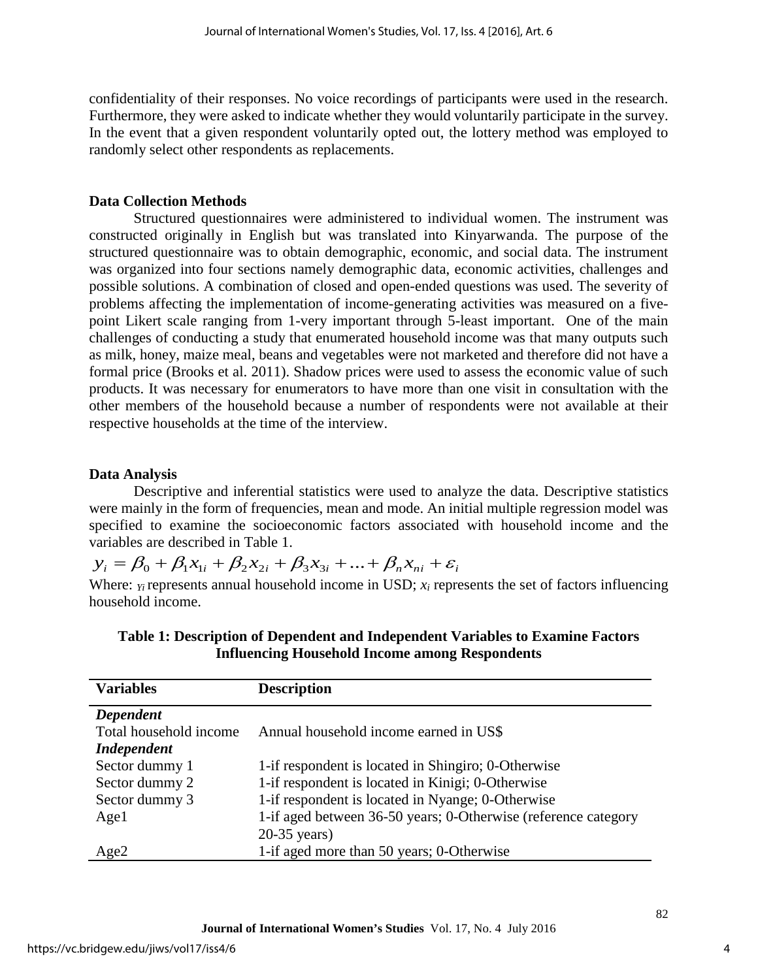confidentiality of their responses. No voice recordings of participants were used in the research. Furthermore, they were asked to indicate whether they would voluntarily participate in the survey. In the event that a given respondent voluntarily opted out, the lottery method was employed to randomly select other respondents as replacements.

#### **Data Collection Methods**

Structured questionnaires were administered to individual women. The instrument was constructed originally in English but was translated into Kinyarwanda. The purpose of the structured questionnaire was to obtain demographic, economic, and social data. The instrument was organized into four sections namely demographic data, economic activities, challenges and possible solutions. A combination of closed and open-ended questions was used. The severity of problems affecting the implementation of income-generating activities was measured on a fivepoint Likert scale ranging from 1-very important through 5-least important. One of the main challenges of conducting a study that enumerated household income was that many outputs such as milk, honey, maize meal, beans and vegetables were not marketed and therefore did not have a formal price (Brooks et al. 2011). Shadow prices were used to assess the economic value of such products. It was necessary for enumerators to have more than one visit in consultation with the other members of the household because a number of respondents were not available at their respective households at the time of the interview.

#### **Data Analysis**

Descriptive and inferential statistics were used to analyze the data. Descriptive statistics were mainly in the form of frequencies, mean and mode. An initial multiple regression model was specified to examine the socioeconomic factors associated with household income and the variables are described in Table 1.

 $y_i = \beta_0 + \beta_1 x_{1i} + \beta_2 x_{2i} + \beta_3 x_{3i} + \dots + \beta_n x_{ni} + \varepsilon_i$ 

Where: *Y<sub>i</sub>* represents annual household income in USD; *x<sub>i</sub>* represents the set of factors influencing household income.

| <b>Variables</b>       | <b>Description</b>                                             |
|------------------------|----------------------------------------------------------------|
| Dependent              |                                                                |
| Total household income | Annual household income earned in US\$                         |
| <b>Independent</b>     |                                                                |
| Sector dummy 1         | 1-if respondent is located in Shingiro; 0-Otherwise            |
| Sector dummy 2         | 1-if respondent is located in Kinigi; 0-Otherwise              |
| Sector dummy 3         | 1-if respondent is located in Nyange; 0-Otherwise              |
| Age1                   | 1-if aged between 36-50 years; 0-Otherwise (reference category |
|                        | $20-35$ years)                                                 |
| Age2                   | 1-if aged more than 50 years; 0-Otherwise                      |

**Table 1: Description of Dependent and Independent Variables to Examine Factors Influencing Household Income among Respondents**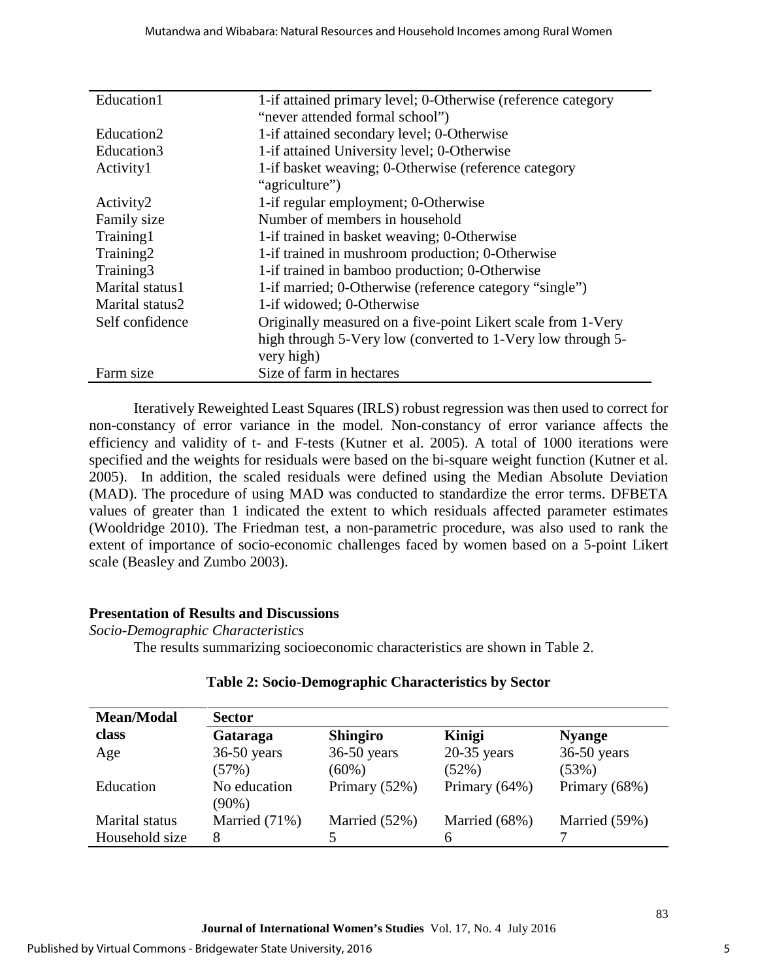| Education1      | 1-if attained primary level; 0-Otherwise (reference category |  |  |  |  |
|-----------------|--------------------------------------------------------------|--|--|--|--|
|                 | "never attended formal school")                              |  |  |  |  |
| Education2      | 1-if attained secondary level; 0-Otherwise                   |  |  |  |  |
| Education3      | 1-if attained University level; 0-Otherwise                  |  |  |  |  |
| Activity1       | 1-if basket weaving; 0-Otherwise (reference category         |  |  |  |  |
|                 | "agriculture")                                               |  |  |  |  |
| Activity2       | 1-if regular employment; 0-Otherwise                         |  |  |  |  |
| Family size     | Number of members in household                               |  |  |  |  |
| Training1       | 1-if trained in basket weaving; 0-Otherwise                  |  |  |  |  |
| Training2       | 1-if trained in mushroom production; 0-Otherwise             |  |  |  |  |
| Training3       | 1-if trained in bamboo production; 0-Otherwise               |  |  |  |  |
| Marital status1 | 1-if married; 0-Otherwise (reference category "single")      |  |  |  |  |
| Marital status2 | 1-if widowed; 0-Otherwise                                    |  |  |  |  |
| Self confidence | Originally measured on a five-point Likert scale from 1-Very |  |  |  |  |
|                 | high through 5-Very low (converted to 1-Very low through 5-  |  |  |  |  |
|                 | very high)                                                   |  |  |  |  |
| Farm size       | Size of farm in hectares                                     |  |  |  |  |

Iteratively Reweighted Least Squares (IRLS) robust regression was then used to correct for non-constancy of error variance in the model. Non-constancy of error variance affects the efficiency and validity of t- and F-tests (Kutner et al. 2005). A total of 1000 iterations were specified and the weights for residuals were based on the bi-square weight function (Kutner et al. 2005). In addition, the scaled residuals were defined using the Median Absolute Deviation (MAD). The procedure of using MAD was conducted to standardize the error terms. DFBETA values of greater than 1 indicated the extent to which residuals affected parameter estimates (Wooldridge 2010). The Friedman test, a non-parametric procedure, was also used to rank the extent of importance of socio-economic challenges faced by women based on a 5-point Likert scale (Beasley and Zumbo 2003).

#### **Presentation of Results and Discussions**

*Socio-Demographic Characteristics* 

The results summarizing socioeconomic characteristics are shown in Table 2.

| <b>Mean/Modal</b>     |                          |                 |               |               |
|-----------------------|--------------------------|-----------------|---------------|---------------|
| class                 | Gataraga                 | <b>Shingiro</b> | Kinigi        | <b>Nyange</b> |
| Age                   | $36-50$ years            | $36-50$ years   | $20-35$ years | $36-50$ years |
|                       | (57%)                    | $(60\%)$        | (52%)         | (53%)         |
| Education             | No education<br>$(90\%)$ | Primary (52%)   | Primary (64%) | Primary (68%) |
| <b>Marital</b> status | Married (71%)            | Married (52%)   | Married (68%) | Married (59%) |
| Household size        | 8                        |                 | 6             |               |

## **Table 2: Socio-Demographic Characteristics by Sector**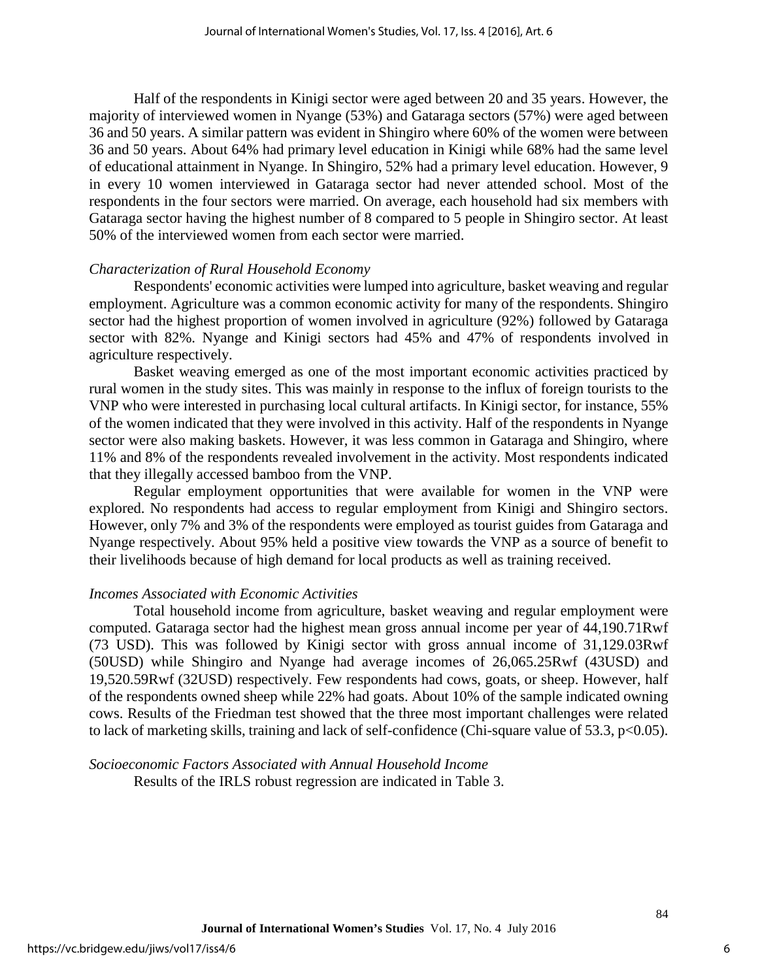Half of the respondents in Kinigi sector were aged between 20 and 35 years. However, the majority of interviewed women in Nyange (53%) and Gataraga sectors (57%) were aged between 36 and 50 years. A similar pattern was evident in Shingiro where 60% of the women were between 36 and 50 years. About 64% had primary level education in Kinigi while 68% had the same level of educational attainment in Nyange. In Shingiro, 52% had a primary level education. However, 9 in every 10 women interviewed in Gataraga sector had never attended school. Most of the respondents in the four sectors were married. On average, each household had six members with Gataraga sector having the highest number of 8 compared to 5 people in Shingiro sector. At least 50% of the interviewed women from each sector were married.

#### *Characterization of Rural Household Economy*

Respondents' economic activities were lumped into agriculture, basket weaving and regular employment. Agriculture was a common economic activity for many of the respondents. Shingiro sector had the highest proportion of women involved in agriculture (92%) followed by Gataraga sector with 82%. Nyange and Kinigi sectors had 45% and 47% of respondents involved in agriculture respectively.

Basket weaving emerged as one of the most important economic activities practiced by rural women in the study sites. This was mainly in response to the influx of foreign tourists to the VNP who were interested in purchasing local cultural artifacts. In Kinigi sector, for instance, 55% of the women indicated that they were involved in this activity. Half of the respondents in Nyange sector were also making baskets. However, it was less common in Gataraga and Shingiro, where 11% and 8% of the respondents revealed involvement in the activity. Most respondents indicated that they illegally accessed bamboo from the VNP.

Regular employment opportunities that were available for women in the VNP were explored. No respondents had access to regular employment from Kinigi and Shingiro sectors. However, only 7% and 3% of the respondents were employed as tourist guides from Gataraga and Nyange respectively. About 95% held a positive view towards the VNP as a source of benefit to their livelihoods because of high demand for local products as well as training received.

#### *Incomes Associated with Economic Activities*

Total household income from agriculture, basket weaving and regular employment were computed. Gataraga sector had the highest mean gross annual income per year of 44,190.71Rwf (73 USD). This was followed by Kinigi sector with gross annual income of 31,129.03Rwf (50USD) while Shingiro and Nyange had average incomes of 26,065.25Rwf (43USD) and 19,520.59Rwf (32USD) respectively. Few respondents had cows, goats, or sheep. However, half of the respondents owned sheep while 22% had goats. About 10% of the sample indicated owning cows. Results of the Friedman test showed that the three most important challenges were related to lack of marketing skills, training and lack of self-confidence (Chi-square value of 53.3, p<0.05).

#### *Socioeconomic Factors Associated with Annual Household Income*

Results of the IRLS robust regression are indicated in Table 3.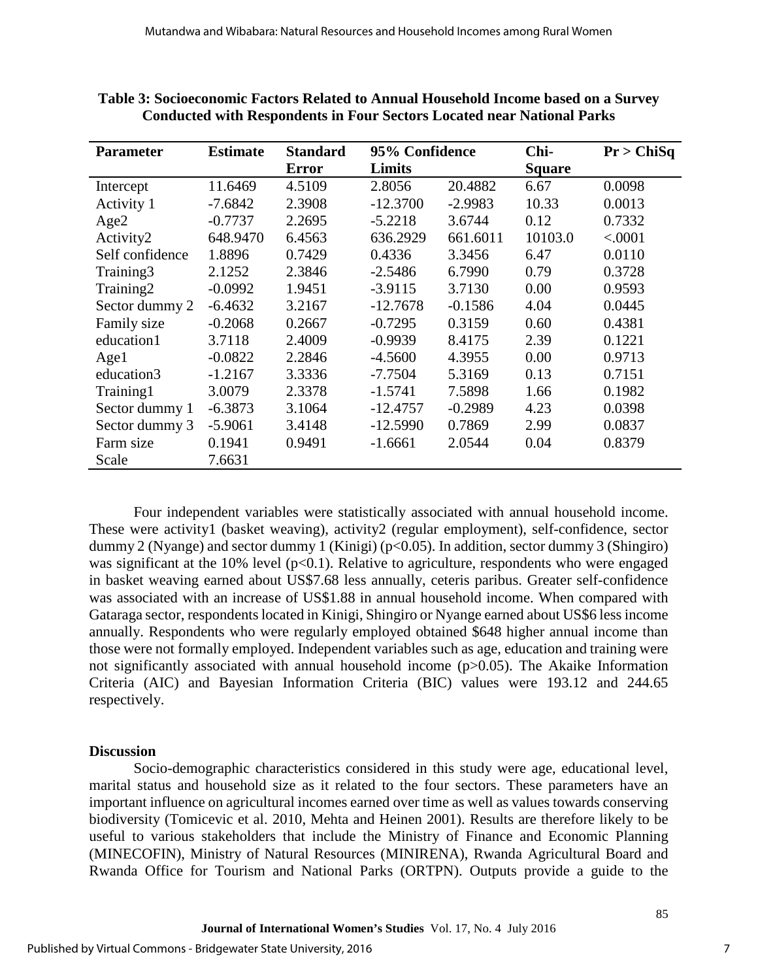| <b>Parameter</b> | <b>Estimate</b> | <b>Standard</b> | 95% Confidence |           | Chi-          | Pr > ChiSq |
|------------------|-----------------|-----------------|----------------|-----------|---------------|------------|
|                  |                 | <b>Error</b>    | Limits         |           | <b>Square</b> |            |
| Intercept        | 11.6469         | 4.5109          | 2.8056         | 20.4882   | 6.67          | 0.0098     |
| Activity 1       | $-7.6842$       | 2.3908          | $-12.3700$     | $-2.9983$ | 10.33         | 0.0013     |
| Age2             | $-0.7737$       | 2.2695          | $-5.2218$      | 3.6744    | 0.12          | 0.7332     |
| Activity2        | 648.9470        | 6.4563          | 636.2929       | 661.6011  | 10103.0       | < .0001    |
| Self confidence  | 1.8896          | 0.7429          | 0.4336         | 3.3456    | 6.47          | 0.0110     |
| Training3        | 2.1252          | 2.3846          | $-2.5486$      | 6.7990    | 0.79          | 0.3728     |
| Training2        | $-0.0992$       | 1.9451          | $-3.9115$      | 3.7130    | 0.00          | 0.9593     |
| Sector dummy 2   | $-6.4632$       | 3.2167          | $-12.7678$     | $-0.1586$ | 4.04          | 0.0445     |
| Family size      | $-0.2068$       | 0.2667          | $-0.7295$      | 0.3159    | 0.60          | 0.4381     |
| education1       | 3.7118          | 2.4009          | $-0.9939$      | 8.4175    | 2.39          | 0.1221     |
| Age1             | $-0.0822$       | 2.2846          | $-4.5600$      | 4.3955    | 0.00          | 0.9713     |
| education3       | $-1.2167$       | 3.3336          | $-7.7504$      | 5.3169    | 0.13          | 0.7151     |
| Training1        | 3.0079          | 2.3378          | $-1.5741$      | 7.5898    | 1.66          | 0.1982     |
| Sector dummy 1   | $-6.3873$       | 3.1064          | $-12.4757$     | $-0.2989$ | 4.23          | 0.0398     |
| Sector dummy 3   | $-5.9061$       | 3.4148          | $-12.5990$     | 0.7869    | 2.99          | 0.0837     |
| Farm size        | 0.1941          | 0.9491          | $-1.6661$      | 2.0544    | 0.04          | 0.8379     |
| Scale            | 7.6631          |                 |                |           |               |            |

**Table 3: Socioeconomic Factors Related to Annual Household Income based on a Survey Conducted with Respondents in Four Sectors Located near National Parks**

Four independent variables were statistically associated with annual household income. These were activity1 (basket weaving), activity2 (regular employment), self-confidence, sector dummy 2 (Nyange) and sector dummy 1 (Kinigi) (p<0.05). In addition, sector dummy 3 (Shingiro) was significant at the 10% level ( $p<0.1$ ). Relative to agriculture, respondents who were engaged in basket weaving earned about US\$7.68 less annually, ceteris paribus. Greater self-confidence was associated with an increase of US\$1.88 in annual household income. When compared with Gataraga sector, respondents located in Kinigi, Shingiro or Nyange earned about US\$6 less income annually. Respondents who were regularly employed obtained \$648 higher annual income than those were not formally employed. Independent variables such as age, education and training were not significantly associated with annual household income (p>0.05). The Akaike Information Criteria (AIC) and Bayesian Information Criteria (BIC) values were 193.12 and 244.65 respectively.

#### **Discussion**

Socio-demographic characteristics considered in this study were age, educational level, marital status and household size as it related to the four sectors. These parameters have an important influence on agricultural incomes earned over time as well as values towards conserving biodiversity (Tomicevic et al. 2010, Mehta and Heinen 2001). Results are therefore likely to be useful to various stakeholders that include the Ministry of Finance and Economic Planning (MINECOFIN), Ministry of Natural Resources (MINIRENA), Rwanda Agricultural Board and Rwanda Office for Tourism and National Parks (ORTPN). Outputs provide a guide to the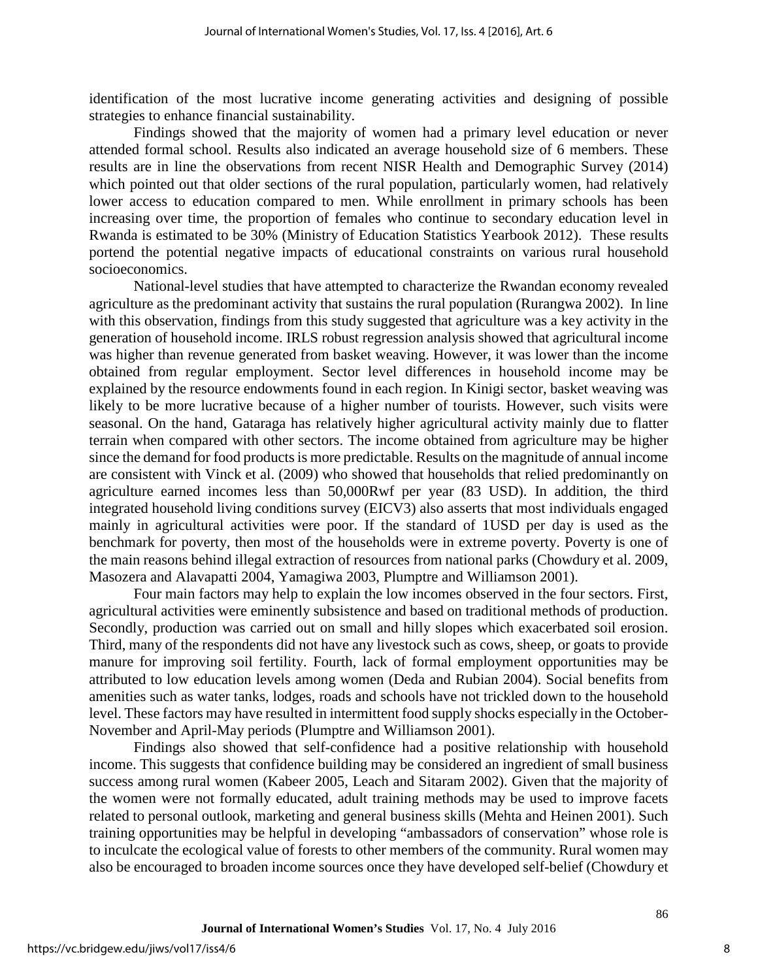identification of the most lucrative income generating activities and designing of possible strategies to enhance financial sustainability.

Findings showed that the majority of women had a primary level education or never attended formal school. Results also indicated an average household size of 6 members. These results are in line the observations from recent NISR Health and Demographic Survey (2014) which pointed out that older sections of the rural population, particularly women, had relatively lower access to education compared to men. While enrollment in primary schools has been increasing over time, the proportion of females who continue to secondary education level in Rwanda is estimated to be 30% (Ministry of Education Statistics Yearbook 2012). These results portend the potential negative impacts of educational constraints on various rural household socioeconomics.

National-level studies that have attempted to characterize the Rwandan economy revealed agriculture as the predominant activity that sustains the rural population (Rurangwa 2002). In line with this observation, findings from this study suggested that agriculture was a key activity in the generation of household income. IRLS robust regression analysis showed that agricultural income was higher than revenue generated from basket weaving. However, it was lower than the income obtained from regular employment. Sector level differences in household income may be explained by the resource endowments found in each region. In Kinigi sector, basket weaving was likely to be more lucrative because of a higher number of tourists. However, such visits were seasonal. On the hand, Gataraga has relatively higher agricultural activity mainly due to flatter terrain when compared with other sectors. The income obtained from agriculture may be higher since the demand for food products is more predictable. Results on the magnitude of annual income are consistent with Vinck et al. (2009) who showed that households that relied predominantly on agriculture earned incomes less than 50,000Rwf per year (83 USD). In addition, the third integrated household living conditions survey (EICV3) also asserts that most individuals engaged mainly in agricultural activities were poor. If the standard of 1USD per day is used as the benchmark for poverty, then most of the households were in extreme poverty. Poverty is one of the main reasons behind illegal extraction of resources from national parks (Chowdury et al. 2009, Masozera and Alavapatti 2004, Yamagiwa 2003, Plumptre and Williamson 2001).

Four main factors may help to explain the low incomes observed in the four sectors. First, agricultural activities were eminently subsistence and based on traditional methods of production. Secondly, production was carried out on small and hilly slopes which exacerbated soil erosion. Third, many of the respondents did not have any livestock such as cows, sheep, or goats to provide manure for improving soil fertility. Fourth, lack of formal employment opportunities may be attributed to low education levels among women (Deda and Rubian 2004). Social benefits from amenities such as water tanks, lodges, roads and schools have not trickled down to the household level. These factors may have resulted in intermittent food supply shocks especially in the October-November and April-May periods (Plumptre and Williamson 2001).

Findings also showed that self-confidence had a positive relationship with household income. This suggests that confidence building may be considered an ingredient of small business success among rural women (Kabeer 2005, Leach and Sitaram 2002). Given that the majority of the women were not formally educated, adult training methods may be used to improve facets related to personal outlook, marketing and general business skills (Mehta and Heinen 2001). Such training opportunities may be helpful in developing "ambassadors of conservation" whose role is to inculcate the ecological value of forests to other members of the community. Rural women may also be encouraged to broaden income sources once they have developed self-belief (Chowdury et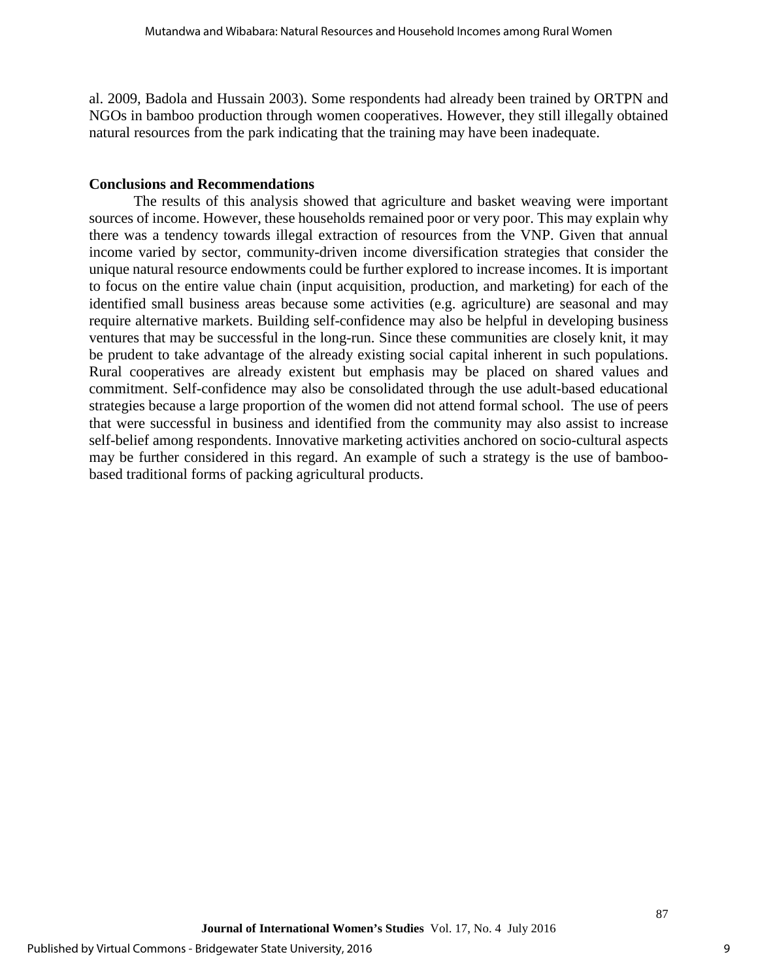al. 2009, Badola and Hussain 2003). Some respondents had already been trained by ORTPN and NGOs in bamboo production through women cooperatives. However, they still illegally obtained natural resources from the park indicating that the training may have been inadequate.

#### **Conclusions and Recommendations**

The results of this analysis showed that agriculture and basket weaving were important sources of income. However, these households remained poor or very poor. This may explain why there was a tendency towards illegal extraction of resources from the VNP. Given that annual income varied by sector, community-driven income diversification strategies that consider the unique natural resource endowments could be further explored to increase incomes. It is important to focus on the entire value chain (input acquisition, production, and marketing) for each of the identified small business areas because some activities (e.g. agriculture) are seasonal and may require alternative markets. Building self-confidence may also be helpful in developing business ventures that may be successful in the long-run. Since these communities are closely knit, it may be prudent to take advantage of the already existing social capital inherent in such populations. Rural cooperatives are already existent but emphasis may be placed on shared values and commitment. Self-confidence may also be consolidated through the use adult-based educational strategies because a large proportion of the women did not attend formal school. The use of peers that were successful in business and identified from the community may also assist to increase self-belief among respondents. Innovative marketing activities anchored on socio-cultural aspects may be further considered in this regard. An example of such a strategy is the use of bamboobased traditional forms of packing agricultural products.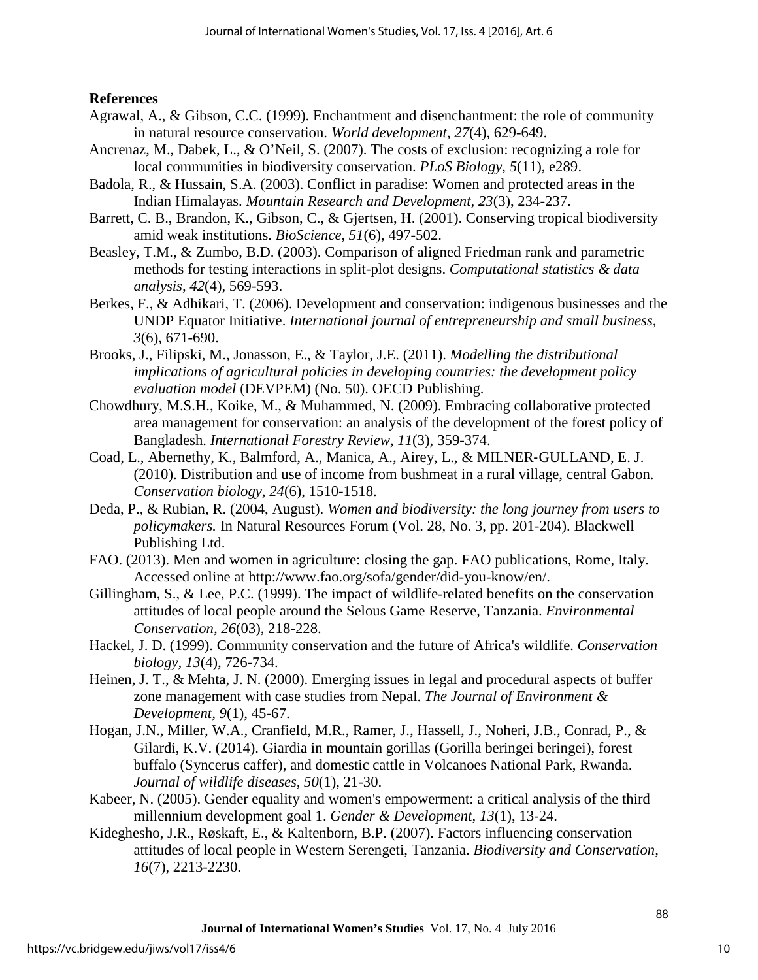#### **References**

- Agrawal, A., & Gibson, C.C. (1999). Enchantment and disenchantment: the role of community in natural resource conservation. *World development*, *27*(4), 629-649.
- Ancrenaz, M., Dabek, L., & O'Neil, S. (2007). The costs of exclusion: recognizing a role for local communities in biodiversity conservation. *PLoS Biology, 5*(11), e289.
- Badola, R., & Hussain, S.A. (2003). Conflict in paradise: Women and protected areas in the Indian Himalayas. *Mountain Research and Development, 23*(3), 234-237.
- Barrett, C. B., Brandon, K., Gibson, C., & Gjertsen, H. (2001). Conserving tropical biodiversity amid weak institutions. *BioScience, 51*(6), 497-502.
- Beasley, T.M., & Zumbo, B.D. (2003). Comparison of aligned Friedman rank and parametric methods for testing interactions in split-plot designs. *Computational statistics & data analysis, 42*(4), 569-593.
- Berkes, F., & Adhikari, T. (2006). Development and conservation: indigenous businesses and the UNDP Equator Initiative. *International journal of entrepreneurship and small business, 3*(6), 671-690.
- Brooks, J., Filipski, M., Jonasson, E., & Taylor, J.E. (2011). *Modelling the distributional implications of agricultural policies in developing countries: the development policy evaluation model* (DEVPEM) (No. 50). OECD Publishing.
- Chowdhury, M.S.H., Koike, M., & Muhammed, N. (2009). Embracing collaborative protected area management for conservation: an analysis of the development of the forest policy of Bangladesh. *International Forestry Review, 11*(3), 359-374.
- Coad, L., Abernethy, K., Balmford, A., Manica, A., Airey, L., & MILNER‐GULLAND, E. J. (2010). Distribution and use of income from bushmeat in a rural village, central Gabon. *Conservation biology, 24*(6), 1510-1518.
- Deda, P., & Rubian, R. (2004, August). *Women and biodiversity: the long journey from users to policymakers.* In Natural Resources Forum (Vol. 28, No. 3, pp. 201-204). Blackwell Publishing Ltd.
- FAO. (2013). Men and women in agriculture: closing the gap. FAO publications, Rome, Italy. Accessed online at [http://www.fao.org/sofa/gender/did-you-know/en/.](http://www.fao.org/sofa/gender/did-you-know/en/)
- Gillingham, S., & Lee, P.C. (1999). The impact of wildlife-related benefits on the conservation attitudes of local people around the Selous Game Reserve, Tanzania. *Environmental Conservation, 26*(03), 218-228.
- Hackel, J. D. (1999). Community conservation and the future of Africa's wildlife. *Conservation biology, 13*(4), 726-734.
- Heinen, J. T., & Mehta, J. N. (2000). Emerging issues in legal and procedural aspects of buffer zone management with case studies from Nepal. *The Journal of Environment & Development, 9*(1), 45-67.
- Hogan, J.N., Miller, W.A., Cranfield, M.R., Ramer, J., Hassell, J., Noheri, J.B., Conrad, P., & Gilardi, K.V. (2014). Giardia in mountain gorillas (Gorilla beringei beringei), forest buffalo (Syncerus caffer), and domestic cattle in Volcanoes National Park, Rwanda. *Journal of wildlife diseases, 50*(1), 21-30.
- Kabeer, N. (2005). Gender equality and women's empowerment: a critical analysis of the third millennium development goal 1. *Gender & Development, 13*(1), 13-24.
- Kideghesho, J.R., Røskaft, E., & Kaltenborn, B.P. (2007). Factors influencing conservation attitudes of local people in Western Serengeti, Tanzania. *Biodiversity and Conservation, 16*(7), 2213-2230.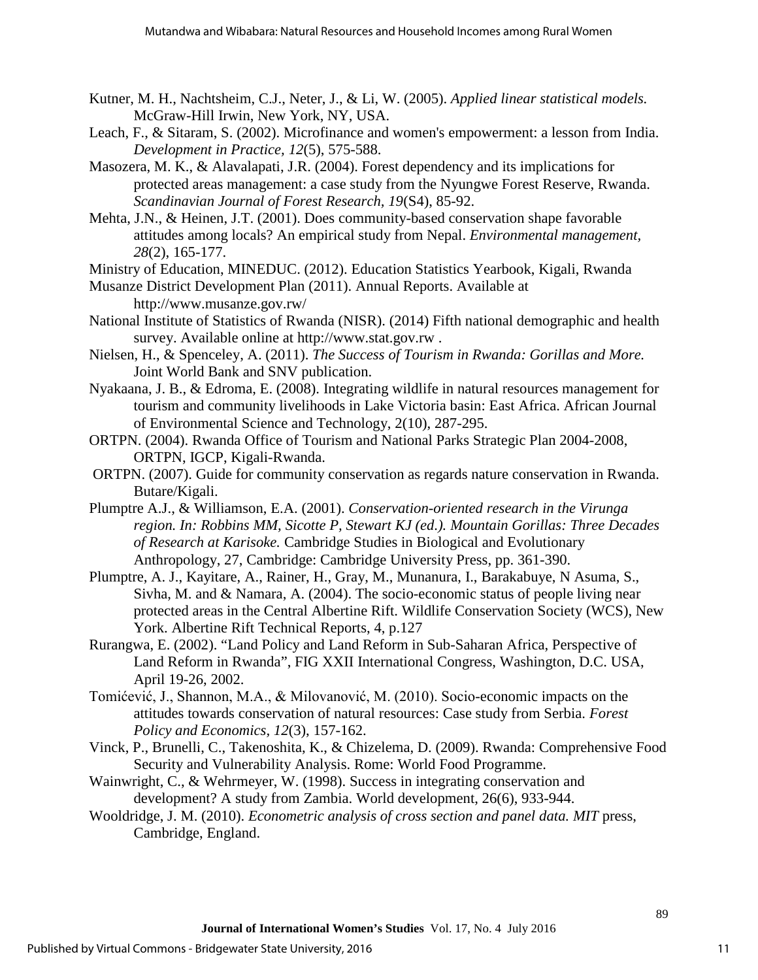- Kutner, M. H., Nachtsheim, C.J., Neter, J., & Li, W. (2005). *Applied linear statistical models.*  McGraw-Hill Irwin, New York, NY, USA.
- Leach, F., & Sitaram, S. (2002). Microfinance and women's empowerment: a lesson from India. *Development in Practice, 12*(5), 575-588.
- Masozera, M. K., & Alavalapati, J.R. (2004). Forest dependency and its implications for protected areas management: a case study from the Nyungwe Forest Reserve, Rwanda. *Scandinavian Journal of Forest Research, 19*(S4), 85-92.
- Mehta, J.N., & Heinen, J.T. (2001). Does community-based conservation shape favorable attitudes among locals? An empirical study from Nepal. *Environmental management, 28*(2), 165-177.
- Ministry of Education, MINEDUC. (2012). Education Statistics Yearbook, Kigali, Rwanda
- Musanze District Development Plan (2011). Annual Reports. Available at <http://www.musanze.gov.rw/>
- National Institute of Statistics of Rwanda (NISR). (2014) Fifth national demographic and health survey. Available online at [http://www.stat.gov.rw](http://www.stat.gov.rw/) .
- Nielsen, H., & Spenceley, A. (2011). *The Success of Tourism in Rwanda: Gorillas and More.* Joint World Bank and SNV publication.
- Nyakaana, J. B., & Edroma, E. (2008). Integrating wildlife in natural resources management for tourism and community livelihoods in Lake Victoria basin: East Africa. African Journal of Environmental Science and Technology, 2(10), 287-295.
- ORTPN. (2004). Rwanda Office of Tourism and National Parks Strategic Plan 2004-2008, ORTPN, IGCP, Kigali-Rwanda.
- ORTPN. (2007). Guide for community conservation as regards nature conservation in Rwanda. Butare/Kigali.
- Plumptre A.J., & Williamson, E.A. (2001). *Conservation-oriented research in the Virunga region. In: Robbins MM, Sicotte P, Stewart KJ (ed.). Mountain Gorillas: Three Decades of Research at Karisoke.* Cambridge Studies in Biological and Evolutionary Anthropology, 27, Cambridge: Cambridge University Press, pp. 361-390.
- Plumptre, A. J., Kayitare, A., Rainer, H., Gray, M., Munanura, I., Barakabuye, N Asuma, S., Sivha, M. and & Namara, A. (2004). The socio-economic status of people living near protected areas in the Central Albertine Rift. Wildlife Conservation Society (WCS), New York. Albertine Rift Technical Reports, 4, p.127
- Rurangwa, E. (2002). "Land Policy and Land Reform in Sub-Saharan Africa, Perspective of Land Reform in Rwanda", FIG XXII International Congress, Washington, D.C. USA, April 19-26, 2002.
- Tomićević, J., Shannon, M.A., & Milovanović, M. (2010). Socio-economic impacts on the attitudes towards conservation of natural resources: Case study from Serbia. *Forest Policy and Economics, 12*(3), 157-162.
- Vinck, P., Brunelli, C., Takenoshita, K., & Chizelema, D. (2009). Rwanda: Comprehensive Food Security and Vulnerability Analysis. Rome: World Food Programme.
- Wainwright, C., & Wehrmeyer, W. (1998). Success in integrating conservation and development? A study from Zambia. World development, 26(6), 933-944.
- Wooldridge, J. M. (2010). *Econometric analysis of cross section and panel data. MIT* press, Cambridge, England.